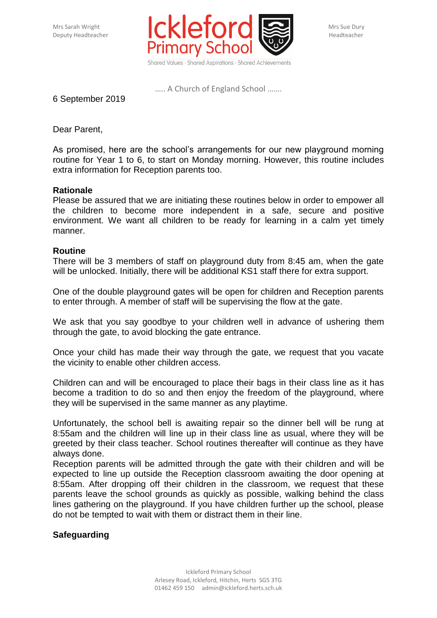

….. A Church of England School …….

6 September 2019

Dear Parent,

As promised, here are the school's arrangements for our new playground morning routine for Year 1 to 6, to start on Monday morning. However, this routine includes extra information for Reception parents too.

## **Rationale**

Please be assured that we are initiating these routines below in order to empower all the children to become more independent in a safe, secure and positive environment. We want all children to be ready for learning in a calm yet timely manner.

## **Routine**

There will be 3 members of staff on playground duty from 8:45 am, when the gate will be unlocked. Initially, there will be additional KS1 staff there for extra support.

One of the double playground gates will be open for children and Reception parents to enter through. A member of staff will be supervising the flow at the gate.

We ask that you say goodbye to your children well in advance of ushering them through the gate, to avoid blocking the gate entrance.

Once your child has made their way through the gate, we request that you vacate the vicinity to enable other children access.

Children can and will be encouraged to place their bags in their class line as it has become a tradition to do so and then enjoy the freedom of the playground, where they will be supervised in the same manner as any playtime.

Unfortunately, the school bell is awaiting repair so the dinner bell will be rung at 8:55am and the children will line up in their class line as usual, where they will be greeted by their class teacher. School routines thereafter will continue as they have always done.

Reception parents will be admitted through the gate with their children and will be expected to line up outside the Reception classroom awaiting the door opening at 8:55am. After dropping off their children in the classroom, we request that these parents leave the school grounds as quickly as possible, walking behind the class lines gathering on the playground. If you have children further up the school, please do not be tempted to wait with them or distract them in their line.

## **Safeguarding**